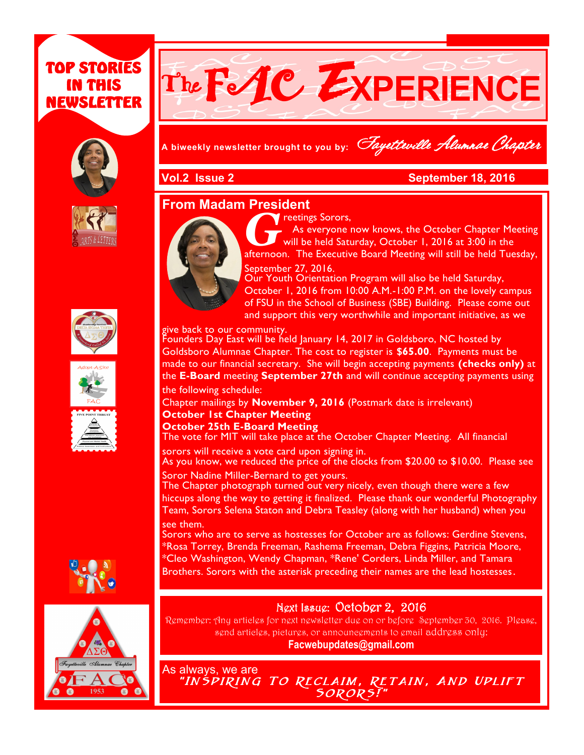# TOP STORIES IN THIS NEWSLETTER















# TheFAC E**XPERIENCE**

**A biweekly newsletter brought to you by:** Fayetteville Alumnae Chapter

#### **Vol.2 Issue 2 September 18, 2016**

#### **From Madam President**



**Greetings Sorors,**<br>As everyone now knows, the October Chapter Meeting<br>afternoon. The Executive Board Meeting will still be held Tuesday, **Treetings Sorors,**  As everyone now knows, the October Chapter Meeting will be held Saturday, October 1, 2016 at 3:00 in the September 27, 2016.

**Newsletter Date**

Our Youth Orientation Program will also be held Saturday, October 1, 2016 from 10:00 A.M.-1:00 P.M. on the lovely campus of FSU in the School of Business (SBE) Building. Please come out and support this very worthwhile and important initiative, as we

give back to our community.

Founders Day East will be held January 14, 2017 in Goldsboro, NC hosted by Goldsboro Alumnae Chapter. The cost to register is **\$65.00**. Payments must be made to our financial secretary. She will begin accepting payments **(checks only)** at the **E-Board** meeting **September 27th** and will continue accepting payments using the following schedule:

Chapter mailings by **November 9, 2016** (Postmark date is irrelevant)

#### **October 1st Chapter Meeting**

**October 25th E-Board Meeting** 

The vote for MIT will take place at the October Chapter Meeting. All financial sorors will receive a vote card upon signing in.

As you know, we reduced the price of the clocks from \$20.00 to \$10.00. Please see Soror Nadine Miller-Bernard to get yours.

The Chapter photograph turned out very nicely, even though there were a few hiccups along the way to getting it finalized. Please thank our wonderful Photography Team, Sorors Selena Staton and Debra Teasley (along with her husband) when you see them.

Sorors who are to serve as hostesses for October are as follows: Gerdine Stevens, \*Rosa Torrey, Brenda Freeman, Rashema Freeman, Debra Figgins, Patricia Moore, \*Cleo Washington, Wendy Chapman, \*Rene' Corders, Linda Miller, and Tamara Brothers. Sorors with the asterisk preceding their names are the lead hostesses.

### Next Issue: October 2, 2016

Remember: Any articles for next newsletter due on or before September 30, 2016. Please, send articles, pictures, or announcements to email address only: **Facwebupdates@gmail.com**

As always, we are

"INSPIRING TO RECLAIM, RETAIN, AND UPLIFT Sorors!"